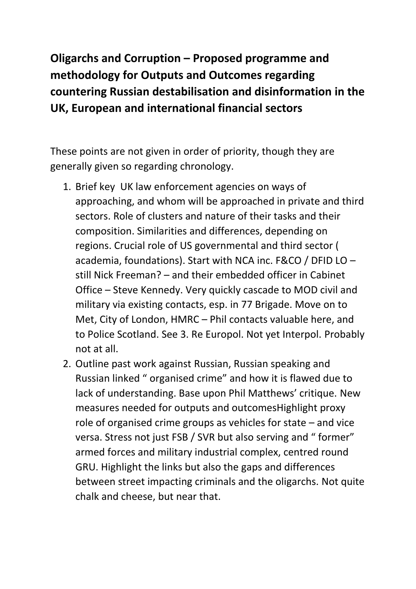**Oligarchs and Corruption – Proposed programme and methodology for Outputs and Outcomes regarding countering Russian destabilisation and disinformation in the UK, European and international financial sectors** 

These points are not given in order of priority, though they are generally given so regarding chronology.

- 1. Brief key UK law enforcement agencies on ways of approaching, and whom will be approached in private and third sectors. Role of clusters and nature of their tasks and their composition. Similarities and differences, depending on regions. Crucial role of US governmental and third sector ( academia, foundations). Start with NCA inc. F&CO / DFID LO – still Nick Freeman? – and their embedded officer in Cabinet Office – Steve Kennedy. Very quickly cascade to MOD civil and military via existing contacts, esp. in 77 Brigade. Move on to Met, City of London, HMRC – Phil contacts valuable here, and to Police Scotland. See 3. Re Europol. Not yet Interpol. Probably not at all.
- 2. Outline past work against Russian, Russian speaking and Russian linked " organised crime" and how it is flawed due to lack of understanding. Base upon Phil Matthews' critique. New measures needed for outputs and outcomesHighlight proxy role of organised crime groups as vehicles for state – and vice versa. Stress not just FSB / SVR but also serving and " former" armed forces and military industrial complex, centred round GRU. Highlight the links but also the gaps and differences between street impacting criminals and the oligarchs. Not quite chalk and cheese, but near that.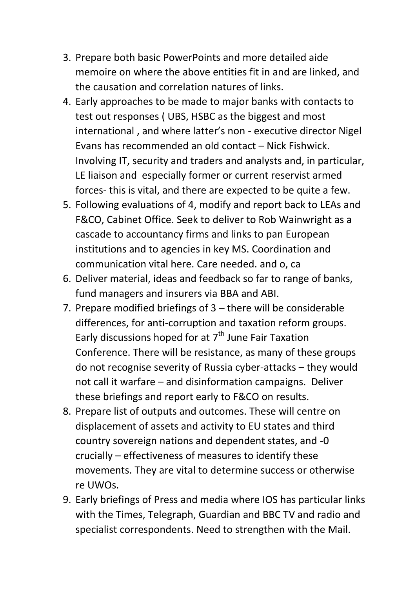- 3. Prepare both basic PowerPoints and more detailed aide memoire on where the above entities fit in and are linked, and the causation and correlation natures of links.
- 4. Early approaches to be made to major banks with contacts to test out responses ( UBS, HSBC as the biggest and most international , and where latter's non - executive director Nigel Evans has recommended an old contact – Nick Fishwick. Involving IT, security and traders and analysts and, in particular, LE liaison and especially former or current reservist armed forces- this is vital, and there are expected to be quite a few.
- 5. Following evaluations of 4, modify and report back to LEAs and F&CO, Cabinet Office. Seek to deliver to Rob Wainwright as a cascade to accountancy firms and links to pan European institutions and to agencies in key MS. Coordination and communication vital here. Care needed. and o, ca
- 6. Deliver material, ideas and feedback so far to range of banks, fund managers and insurers via BBA and ABI.
- 7. Prepare modified briefings of 3 there will be considerable differences, for anti-corruption and taxation reform groups. Early discussions hoped for at  $7<sup>th</sup>$  June Fair Taxation Conference. There will be resistance, as many of these groups do not recognise severity of Russia cyber-attacks – they would not call it warfare – and disinformation campaigns. Deliver these briefings and report early to F&CO on results.
- 8. Prepare list of outputs and outcomes. These will centre on displacement of assets and activity to EU states and third country sovereign nations and dependent states, and -0 crucially – effectiveness of measures to identify these movements. They are vital to determine success or otherwise re UWOs.
- 9. Early briefings of Press and media where IOS has particular links with the Times, Telegraph, Guardian and BBC TV and radio and specialist correspondents. Need to strengthen with the Mail.